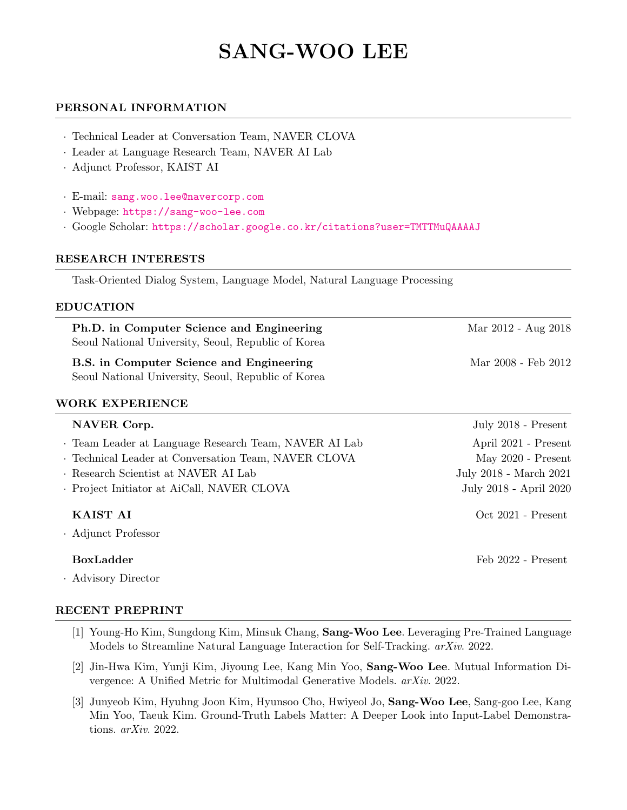# SANG-WOO LEE

## PERSONAL INFORMATION

- · Technical Leader at Conversation Team, NAVER CLOVA
- · Leader at Language Research Team, NAVER AI Lab
- · Adjunct Professor, KAIST AI
- · E-mail: [sang.woo.lee@navercorp.com](mailto:sang.woo.lee@navercorp.com)
- · Webpage: <https://sang-woo-lee.com>
- · Google Scholar: <https://scholar.google.co.kr/citations?user=TMTTMuQAAAAJ>

#### RESEARCH INTERESTS

Task-Oriented Dialog System, Language Model, Natural Language Processing

#### EDUCATION

| Ph.D. in Computer Science and Engineering<br>Seoul National University, Seoul, Republic of Korea | Mar 2012 - Aug 2018 |
|--------------------------------------------------------------------------------------------------|---------------------|
| B.S. in Computer Science and Engineering<br>Seoul National University, Seoul, Republic of Korea  | Mar 2008 - Feb 2012 |
| WORK EXPERIENCE                                                                                  |                     |

| NAVER Corp.                                           | July $2018$ - Present  |
|-------------------------------------------------------|------------------------|
| · Team Leader at Language Research Team, NAVER AI Lab | April 2021 - Present   |
| · Technical Leader at Conversation Team, NAVER CLOVA  | May $2020$ - Present   |
| · Research Scientist at NAVER AI Lab                  | July 2018 - March 2021 |
| . Project Initiator at AiCall, NAVER CLOVA            | July 2018 - April 2020 |
| KAIST AI                                              | Oct 2021 - Present     |
| · Adjunct Professor                                   |                        |
| <b>BoxLadder</b>                                      | Feb 2022 - Present     |

· Advisory Director

#### RECENT PREPRINT

- [1] Young-Ho Kim, Sungdong Kim, Minsuk Chang, Sang-Woo Lee. Leveraging Pre-Trained Language Models to Streamline Natural Language Interaction for Self-Tracking. arXiv. 2022.
- [2] Jin-Hwa Kim, Yunji Kim, Jiyoung Lee, Kang Min Yoo, Sang-Woo Lee. Mutual Information Divergence: A Unified Metric for Multimodal Generative Models. arXiv. 2022.
- [3] Junyeob Kim, Hyuhng Joon Kim, Hyunsoo Cho, Hwiyeol Jo, Sang-Woo Lee, Sang-goo Lee, Kang Min Yoo, Taeuk Kim. Ground-Truth Labels Matter: A Deeper Look into Input-Label Demonstrations. arXiv. 2022.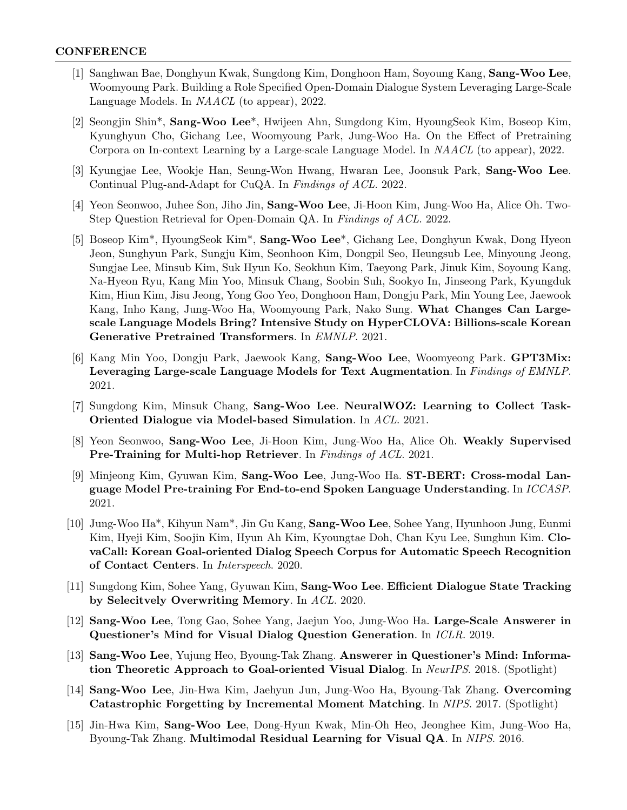## **CONFERENCE**

- [1] Sanghwan Bae, Donghyun Kwak, Sungdong Kim, Donghoon Ham, Soyoung Kang, Sang-Woo Lee, Woomyoung Park. Building a Role Specified Open-Domain Dialogue System Leveraging Large-Scale Language Models. In NAACL (to appear), 2022.
- [2] Seongjin Shin\*, Sang-Woo Lee\*, Hwijeen Ahn, Sungdong Kim, HyoungSeok Kim, Boseop Kim, Kyunghyun Cho, Gichang Lee, Woomyoung Park, Jung-Woo Ha. On the Effect of Pretraining Corpora on In-context Learning by a Large-scale Language Model. In NAACL (to appear), 2022.
- [3] Kyungjae Lee, Wookje Han, Seung-Won Hwang, Hwaran Lee, Joonsuk Park, Sang-Woo Lee. Continual Plug-and-Adapt for CuQA. In Findings of ACL. 2022.
- [4] Yeon Seonwoo, Juhee Son, Jiho Jin, Sang-Woo Lee, Ji-Hoon Kim, Jung-Woo Ha, Alice Oh. Two-Step Question Retrieval for Open-Domain QA. In Findings of ACL. 2022.
- [5] Boseop Kim\*, HyoungSeok Kim\*, Sang-Woo Lee\*, Gichang Lee, Donghyun Kwak, Dong Hyeon Jeon, Sunghyun Park, Sungju Kim, Seonhoon Kim, Dongpil Seo, Heungsub Lee, Minyoung Jeong, Sungjae Lee, Minsub Kim, Suk Hyun Ko, Seokhun Kim, Taeyong Park, Jinuk Kim, Soyoung Kang, Na-Hyeon Ryu, Kang Min Yoo, Minsuk Chang, Soobin Suh, Sookyo In, Jinseong Park, Kyungduk Kim, Hiun Kim, Jisu Jeong, Yong Goo Yeo, Donghoon Ham, Dongju Park, Min Young Lee, Jaewook Kang, Inho Kang, Jung-Woo Ha, Woomyoung Park, Nako Sung. What Changes Can Largescale Language Models Bring? Intensive Study on HyperCLOVA: Billions-scale Korean Generative Pretrained Transformers. In EMNLP. 2021.
- [6] Kang Min Yoo, Dongju Park, Jaewook Kang, Sang-Woo Lee, Woomyeong Park. GPT3Mix: Leveraging Large-scale Language Models for Text Augmentation. In *Findings of EMNLP*. 2021.
- [7] Sungdong Kim, Minsuk Chang, Sang-Woo Lee. NeuralWOZ: Learning to Collect Task-Oriented Dialogue via Model-based Simulation. In ACL. 2021.
- [8] Yeon Seonwoo, Sang-Woo Lee, Ji-Hoon Kim, Jung-Woo Ha, Alice Oh. Weakly Supervised Pre-Training for Multi-hop Retriever. In Findings of ACL. 2021.
- [9] Minjeong Kim, Gyuwan Kim, Sang-Woo Lee, Jung-Woo Ha. ST-BERT: Cross-modal Language Model Pre-training For End-to-end Spoken Language Understanding. In ICCASP. 2021.
- [10] Jung-Woo Ha\*, Kihyun Nam\*, Jin Gu Kang, Sang-Woo Lee, Sohee Yang, Hyunhoon Jung, Eunmi Kim, Hyeji Kim, Soojin Kim, Hyun Ah Kim, Kyoungtae Doh, Chan Kyu Lee, Sunghun Kim. ClovaCall: Korean Goal-oriented Dialog Speech Corpus for Automatic Speech Recognition of Contact Centers. In Interspeech. 2020.
- [11] Sungdong Kim, Sohee Yang, Gyuwan Kim, Sang-Woo Lee. Efficient Dialogue State Tracking by Selecitvely Overwriting Memory. In ACL. 2020.
- [12] Sang-Woo Lee, Tong Gao, Sohee Yang, Jaejun Yoo, Jung-Woo Ha. Large-Scale Answerer in Questioner's Mind for Visual Dialog Question Generation. In ICLR. 2019.
- [13] Sang-Woo Lee, Yujung Heo, Byoung-Tak Zhang. Answerer in Questioner's Mind: Information Theoretic Approach to Goal-oriented Visual Dialog. In NeurlPS. 2018. (Spotlight)
- [14] Sang-Woo Lee, Jin-Hwa Kim, Jaehyun Jun, Jung-Woo Ha, Byoung-Tak Zhang. Overcoming Catastrophic Forgetting by Incremental Moment Matching. In NIPS. 2017. (Spotlight)
- [15] Jin-Hwa Kim, Sang-Woo Lee, Dong-Hyun Kwak, Min-Oh Heo, Jeonghee Kim, Jung-Woo Ha, Byoung-Tak Zhang. Multimodal Residual Learning for Visual QA. In NIPS. 2016.